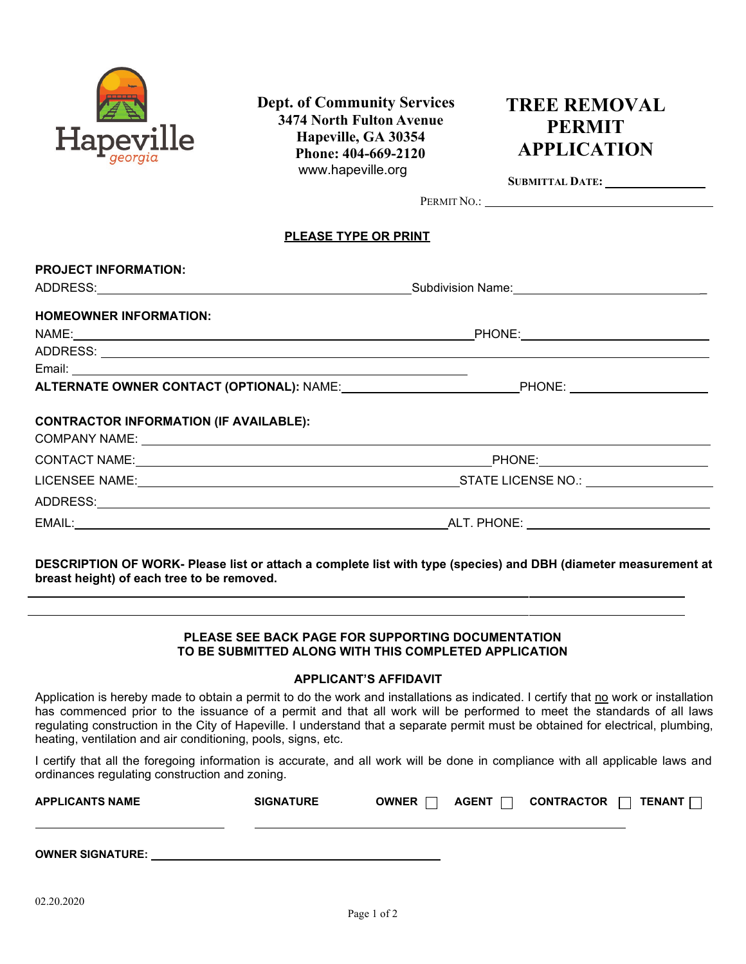

 **Dept. of Community Services 3474 North Fulton Avenue Hapeville, GA 30354 Phone: 404-669-2120**  www.hapeville.org

# **TREE REMOVAL PERMIT APPLICATION**

**SUBMITTAL DATE:** 

PERMIT NO.:

#### **PLEASE TYPE OR PRINT**

| <b>PROJECT INFORMATION:</b>                                    |                                                      |  |  |
|----------------------------------------------------------------|------------------------------------------------------|--|--|
|                                                                | Subdivision Name: __________________________________ |  |  |
| <b>HOMEOWNER INFORMATION:</b>                                  |                                                      |  |  |
|                                                                |                                                      |  |  |
|                                                                |                                                      |  |  |
|                                                                |                                                      |  |  |
| ALTERNATE OWNER CONTACT (OPTIONAL): NAME: PHONE: PHONE: PHONE: |                                                      |  |  |
| <b>CONTRACTOR INFORMATION (IF AVAILABLE):</b>                  |                                                      |  |  |
|                                                                |                                                      |  |  |
|                                                                |                                                      |  |  |
|                                                                |                                                      |  |  |
|                                                                |                                                      |  |  |

**DESCRIPTION OF WORK- Please list or attach a complete list with type (species) and DBH (diameter measurement at breast height) of each tree to be removed.**

### **PLEASE SEE BACK PAGE FOR SUPPORTING DOCUMENTATION TO BE SUBMITTED ALONG WITH THIS COMPLETED APPLICATION**

# **APPLICANT'S AFFIDAVIT**

Application is hereby made to obtain a permit to do the work and installations as indicated. I certify that no work or installation has commenced prior to the issuance of a permit and that all work will be performed to meet the standards of all laws regulating construction in the City of Hapeville. I understand that a separate permit must be obtained for electrical, plumbing, heating, ventilation and air conditioning, pools, signs, etc.

I certify that all the foregoing information is accurate, and all work will be done in compliance with all applicable laws and ordinances regulating construction and zoning.

| <b>APPLICANTS NAME</b>  | <b>SIGNATURE</b> | OWNER [ | AGENT $\Box$ | CONTRACTOR | $\Box$ TENANT $\Box$ |
|-------------------------|------------------|---------|--------------|------------|----------------------|
|                         |                  |         |              |            |                      |
| <b>OWNER SIGNATURE:</b> |                  |         |              |            |                      |